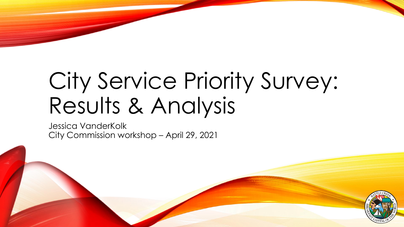# City Service Priority Survey: Results & Analysis

Jessica VanderKolk City Commission workshop – April 29, 2021

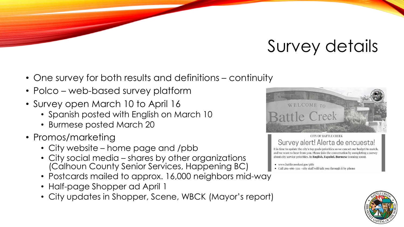# Survey details

- One survey for both results and definitions continuity
- Polco web-based survey platform
- Survey open March 10 to April 16
	- Spanish posted with English on March 10
	- Burmese posted March 20
- Promos/marketing
	- City website home page and /pbb
	- City social media shares by other organizations (Calhoun County Senior Services, Happening BC)
	- Postcards mailed to approx. 16,000 neighbors mid-way
	- Half-page Shopper ad April 1
	- City updates in Shopper, Scene, WBCK (Mayor's report)





It is time to update the city's top goals/priorities so we can set our budget to match, and we want to hear from you. Please join the conversation by completing a survey about city service priorities. In English, Español, Burmese (coming soon).

• www.battlecreekmi.gov/pbb

• Call 269-966-3311 - city staff will talk you through it by phone

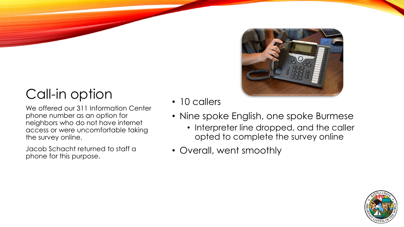# Call-in option • 10 callers

We offered our 311 Information Center phone number as an option for neighbors who do not have internet access or were uncomfortable taking the survey online.

Jacob Schacht returned to staff a phone for this purpose.

- 
- Nine spoke English, one spoke Burmese
	- Interpreter line dropped, and the caller opted to complete the survey online
- Overall, went smoothly

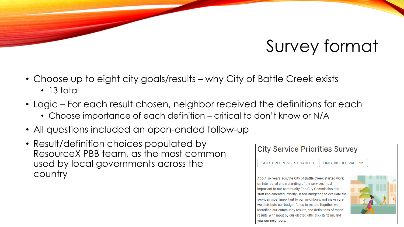# Survey format

- Choose up to eight city goals/results why City of Battle Creek exists • 13 total
- Logic For each result chosen, neighbor received the definitions for each
	- Choose importance of each definition critical to don't know or N/A
- All questions included an open-ended follow-up
- Result/definition choices populated by ResourceX PBB team, as the most common used by local governments across the country



About six years ago, the City of Battle Creek started work on intentional understanding of the services most important to our community. The City Commission and staff implemented Priority Based Budgeting to evaluate the services most important to our neighbors, and make sure we distribute our budget funds to match. Together, we identified our community results, and definitions of those results, with input by our elected officials, city team, and you, our neighbors.

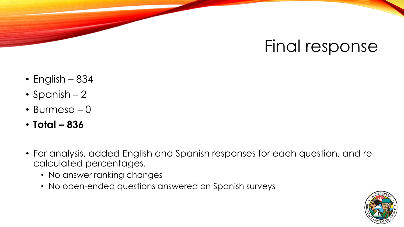#### Final response

- English 834
- Spanish 2
- Burmese 0
- **Total – 836**
- For analysis, added English and Spanish responses for each question, and recalculated percentages.
	- No answer ranking changes
	- No open-ended questions answered on Spanish surveys

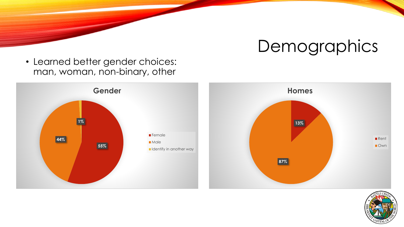• Learned better gender choices: man, woman, non-binary, other





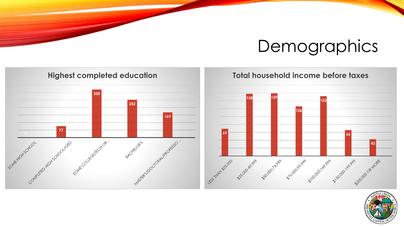



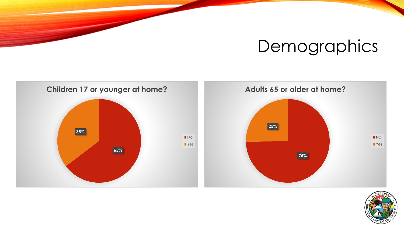



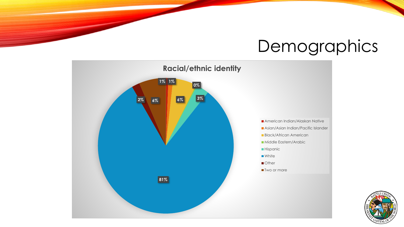

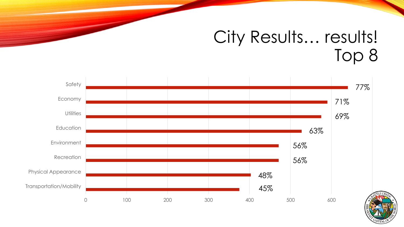#### City Results... results! Top 8



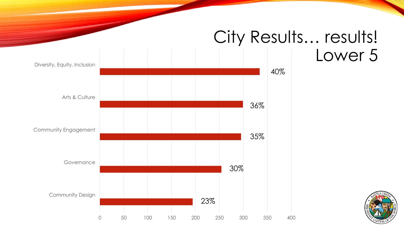#### City Results... results! Lower 5



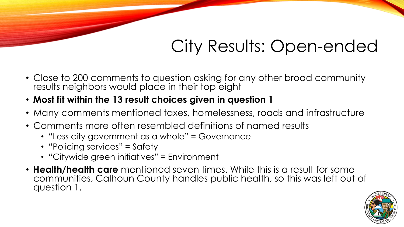# City Results: Open-ended

- Close to 200 comments to question asking for any other broad community results neighbors would place in their top eight
- **Most fit within the 13 result choices given in question 1**
- Many comments mentioned taxes, homelessness, roads and infrastructure
- Comments more often resembled definitions of named results
	- "Less city government as a whole" = Governance
	- "Policing services" = Safety
	- "Citywide green initiatives" = Environment
- **Health/health care** mentioned seven times. While this is a result for some communities, Calhoun County handles public health, so this was left out of question 1.

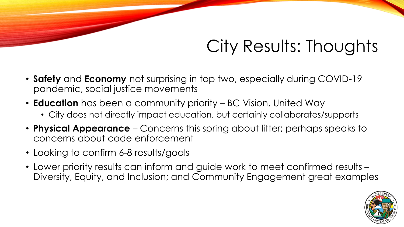## City Results: Thoughts

- **Safety** and **Economy** not surprising in top two, especially during COVID-19 pandemic, social justice movements
- **Education** has been a community priority BC Vision, United Way
	- City does not directly impact education, but certainly collaborates/supports
- **Physical Appearance**  Concerns this spring about litter; perhaps speaks to concerns about code enforcement
- Looking to confirm 6-8 results/goals
- Lower priority results can inform and guide work to meet confirmed results Diversity, Equity, and Inclusion; and Community Engagement great examples